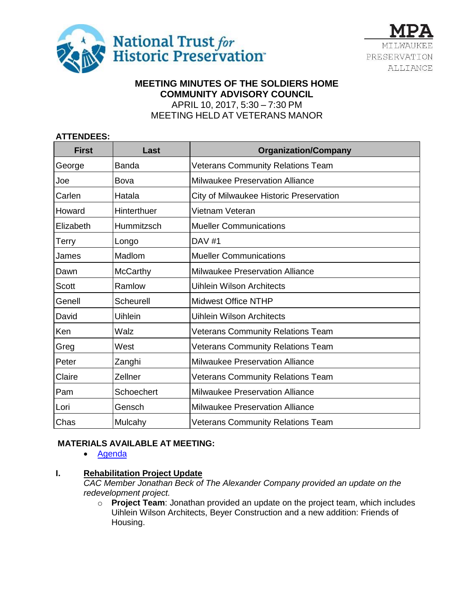



## **MEETING MINUTES OF THE SOLDIERS HOME COMMUNITY ADVISORY COUNCIL** APRIL 10, 2017, 5:30 – 7:30 PM MEETING HELD AT VETERANS MANOR

## **ATTENDEES:**

| <b>First</b> | Last            | <b>Organization/Company</b>              |
|--------------|-----------------|------------------------------------------|
| George       | <b>Banda</b>    | <b>Veterans Community Relations Team</b> |
| Joe          | Bova            | <b>Milwaukee Preservation Alliance</b>   |
| Carlen       | Hatala          | City of Milwaukee Historic Preservation  |
| Howard       | Hinterthuer     | Vietnam Veteran                          |
| Elizabeth    | Hummitzsch      | <b>Mueller Communications</b>            |
| Terry        | Longo           | <b>DAV #1</b>                            |
| James        | Madlom          | <b>Mueller Communications</b>            |
| Dawn         | <b>McCarthy</b> | <b>Milwaukee Preservation Alliance</b>   |
| <b>Scott</b> | Ramlow          | <b>Uihlein Wilson Architects</b>         |
| Genell       | Scheurell       | <b>Midwest Office NTHP</b>               |
| David        | Uihlein         | <b>Uihlein Wilson Architects</b>         |
| Ken          | Walz            | <b>Veterans Community Relations Team</b> |
| Greg         | West            | <b>Veterans Community Relations Team</b> |
| Peter        | Zanghi          | <b>Milwaukee Preservation Alliance</b>   |
| Claire       | Zellner         | <b>Veterans Community Relations Team</b> |
| Pam          | Schoechert      | <b>Milwaukee Preservation Alliance</b>   |
| Lori         | Gensch          | <b>Milwaukee Preservation Alliance</b>   |
| Chas         | Mulcahy         | <b>Veterans Community Relations Team</b> |

# **MATERIALS AVAILABLE AT MEETING:**

• [Agenda](http://docs.wixstatic.com/ugd/a4de35_fe1511aaf97f4582b160513358ea9cb5.pdf)

## **I. Rehabilitation Project Update**

*CAC Member Jonathan Beck of The Alexander Company provided an update on the redevelopment project.* 

o **Project Team**: Jonathan provided an update on the project team, which includes Uihlein Wilson Architects, Beyer Construction and a new addition: Friends of Housing.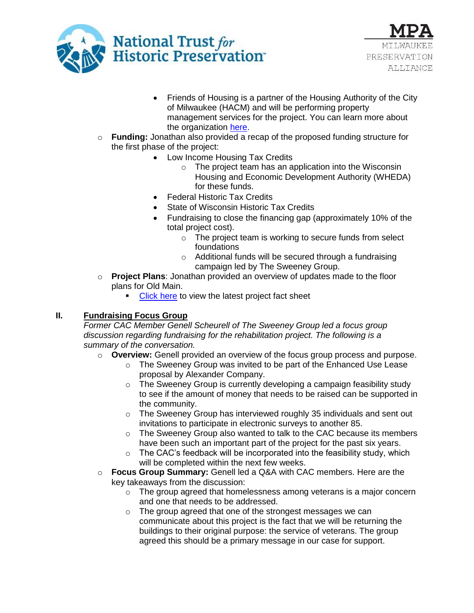



- Friends of Housing is a partner of the Housing Authority of the City of Milwaukee (HACM) and will be performing property management services for the project. You can learn more about the organization [here.](http://friendsofhousing.com/about-us/)
- o **Funding:** Jonathan also provided a recap of the proposed funding structure for the first phase of the project:
	- Low Income Housing Tax Credits
		- o The project team has an application into the Wisconsin Housing and Economic Development Authority (WHEDA) for these funds.
	- Federal Historic Tax Credits
	- State of Wisconsin Historic Tax Credits
	- Fundraising to close the financing gap (approximately 10% of the total project cost).
		- o The project team is working to secure funds from select foundations
		- o Additional funds will be secured through a fundraising campaign led by The Sweeney Group.
- o **Project Plans**: Jonathan provided an overview of updates made to the floor plans for Old Main.
	- [Click here](http://docs.wixstatic.com/ugd/a4de35_7cc50de3cf8f457e9ccfa6bf8f104a37.pdf) to view the latest project fact sheet

## **II. Fundraising Focus Group**

*Former CAC Member Genell Scheurell of The Sweeney Group led a focus group discussion regarding fundraising for the rehabilitation project. The following is a summary of the conversation.* 

- o **Overview:** Genell provided an overview of the focus group process and purpose.
	- o The Sweeney Group was invited to be part of the Enhanced Use Lease proposal by Alexander Company.
	- o The Sweeney Group is currently developing a campaign feasibility study to see if the amount of money that needs to be raised can be supported in the community.
	- o The Sweeney Group has interviewed roughly 35 individuals and sent out invitations to participate in electronic surveys to another 85.
	- $\circ$  The Sweeney Group also wanted to talk to the CAC because its members have been such an important part of the project for the past six years.
	- $\circ$  The CAC's feedback will be incorporated into the feasibility study, which will be completed within the next few weeks.
- o **Focus Group Summary:** Genell led a Q&A with CAC members. Here are the key takeaways from the discussion:
	- $\circ$  The group agreed that homelessness among veterans is a major concern and one that needs to be addressed.
	- o The group agreed that one of the strongest messages we can communicate about this project is the fact that we will be returning the buildings to their original purpose: the service of veterans. The group agreed this should be a primary message in our case for support.